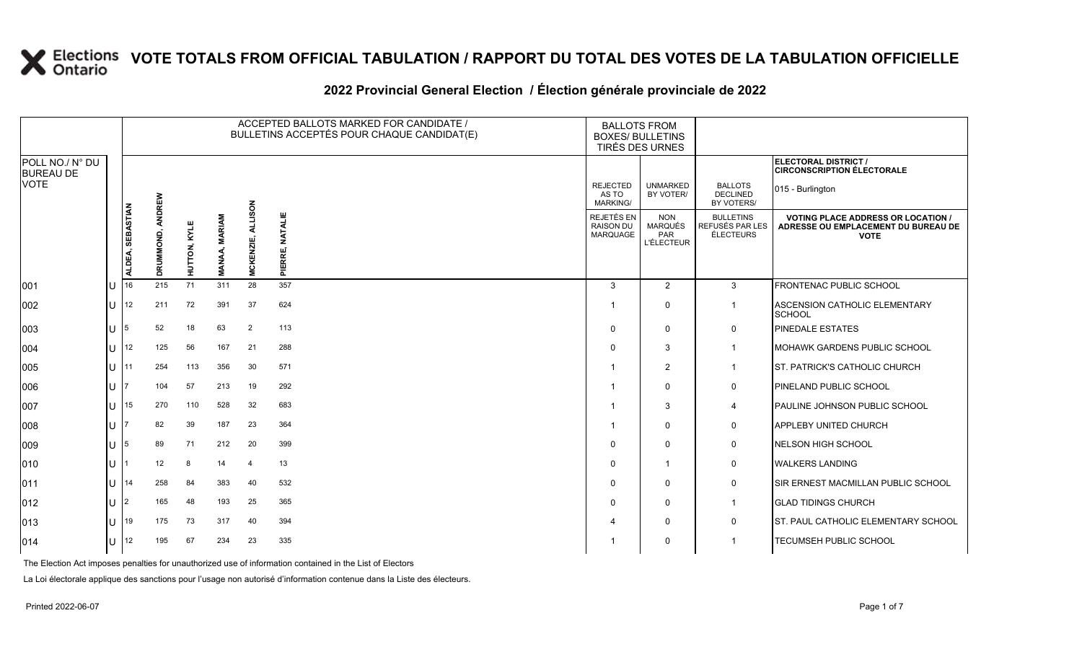#### 2022 Provincial General Election / Election générale provinciale de 2022

|                                     |              |                  |           |                |             | ACCEPTED BALLOTS MARKED FOR CANDIDATE /<br>BULLETINS ACCEPTÉS POUR CHAQUE CANDIDAT(E) |                           |                                                   | <b>BALLOTS FROM</b><br><b>BOXES/ BULLETINS</b><br>TIRÉS DES URNES |                                                  |                                                                                               |
|-------------------------------------|--------------|------------------|-----------|----------------|-------------|---------------------------------------------------------------------------------------|---------------------------|---------------------------------------------------|-------------------------------------------------------------------|--------------------------------------------------|-----------------------------------------------------------------------------------------------|
| POLL NO./ N° DU<br><b>BUREAU DE</b> |              |                  |           |                |             |                                                                                       |                           |                                                   |                                                                   |                                                  | ELECTORAL DISTRICT /<br><b>CIRCONSCRIPTION ÉLECTORALE</b>                                     |
| VOTE                                |              |                  | ANDREW    |                |             |                                                                                       |                           | <b>REJECTED</b><br>AS TO<br>MARKING/              | <b>UNMARKED</b><br>BY VOTER/                                      | <b>BALLOTS</b><br><b>DECLINED</b><br>BY VOTERS/  | 015 - Burlington                                                                              |
|                                     |              | ALDEA, SEBASTIAN | DRUMMOND, | TON, KYLE<br>들 | MARIAM<br>Σ | <b>ALLISON</b><br>MCKENZIE,                                                           | <b>NATALIE</b><br>PIERRE, | REJETÉS EN<br><b>RAISON DU</b><br><b>MARQUAGE</b> | <b>NON</b><br><b>MARQUÉS</b><br><b>PAR</b><br><b>L'ÉLECTEUR</b>   | <b>BULLETINS</b><br>REFUSÉS PAR LES<br>ÉLECTEURS | <b>VOTING PLACE ADDRESS OR LOCATION</b><br>ADRESSE OU EMPLACEMENT DU BUREAU DE<br><b>VOTE</b> |
| 001                                 |              | 16               | 215       | 71             | 311         | 28                                                                                    | 357                       | 3                                                 | $\overline{2}$                                                    | 3                                                | <b>FRONTENAC PUBLIC SCHOOL</b>                                                                |
| 002                                 |              | 12               | 211       | 72             | 391         | 37                                                                                    | 624                       | -1                                                | $\Omega$                                                          | $\mathbf{1}$                                     | <b>ASCENSION CATHOLIC ELEMENTARY</b><br>SCHOOL                                                |
| 003                                 |              |                  | 52        | 18             | 63          | 2                                                                                     | 113                       | $\Omega$                                          | $\Omega$                                                          | 0                                                | <b>PINEDALE ESTATES</b>                                                                       |
| 004                                 |              | 12               | 125       | 56             | 167         | 21                                                                                    | 288                       | $\Omega$                                          | 3                                                                 | $\mathbf{1}$                                     | MOHAWK GARDENS PUBLIC SCHOOL                                                                  |
| 005                                 | ΠT           | l 11             | 254       | 113            | 356         | 30                                                                                    | 571                       | 1                                                 | $\overline{2}$                                                    | $\mathbf{1}$                                     | <b>ST. PATRICK'S CATHOLIC CHURCH</b>                                                          |
| 006                                 |              |                  | 104       | 57             | 213         | 19                                                                                    | 292                       | -1                                                | $\Omega$                                                          | $\mathbf 0$                                      | PINELAND PUBLIC SCHOOL                                                                        |
| 007                                 |              | 15               | 270       | 110            | 528         | 32                                                                                    | 683                       |                                                   | 3                                                                 | 4                                                | PAULINE JOHNSON PUBLIC SCHOOL                                                                 |
| 008                                 | $\mathbf{L}$ |                  | 82        | 39             | 187         | 23                                                                                    | 364                       | -1                                                | $\Omega$                                                          | 0                                                | <b>APPLEBY UNITED CHURCH</b>                                                                  |
| 009                                 |              |                  | 89        | 71             | 212         | 20                                                                                    | 399                       | $\Omega$                                          | $\Omega$                                                          | 0                                                | NELSON HIGH SCHOOL                                                                            |
| 010                                 |              |                  | 12        | 8              | 14          | $\overline{4}$                                                                        | 13                        | $\Omega$                                          | $\mathbf{1}$                                                      | 0                                                | <b>WALKERS LANDING</b>                                                                        |
| 011                                 |              | 14               | 258       | 84             | 383         | 40                                                                                    | 532                       | $\Omega$                                          | $\Omega$                                                          | 0                                                | SIR ERNEST MACMILLAN PUBLIC SCHOOL                                                            |
| 012                                 | ΠT           | 12               | 165       | 48             | 193         | 25                                                                                    | 365                       | $\Omega$                                          | $\mathbf{0}$                                                      | $\mathbf{1}$                                     | <b>GLAD TIDINGS CHURCH</b>                                                                    |
| 013                                 | $\mathbf{L}$ | 19               | 175       | 73             | 317         | 40                                                                                    | 394                       | $\Delta$                                          | 0                                                                 | $\mathbf 0$                                      | <b>ST. PAUL CATHOLIC ELEMENTARY SCHOOL</b>                                                    |
| 014                                 |              | 12               | 195       | 67             | 234         | 23                                                                                    | 335                       |                                                   | $\Omega$                                                          | -1                                               | TECUMSEH PUBLIC SCHOOL                                                                        |

The Election Act imposes penalties for unauthorized use of information contained in the List of Electors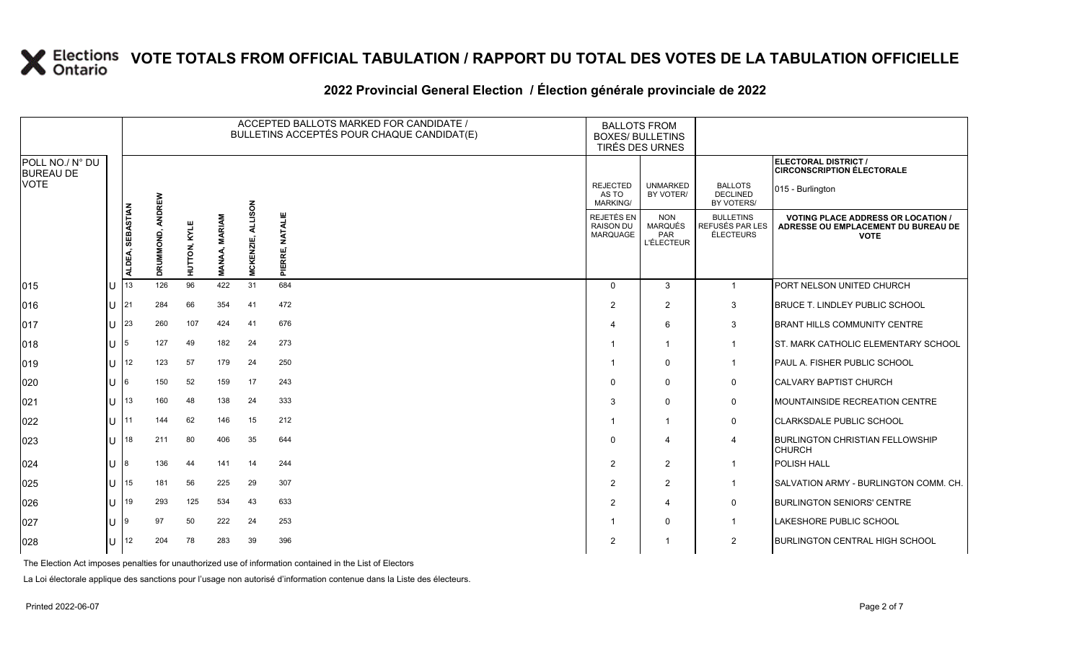|                                     | ACCEPTED BALLOTS MARKED FOR CANDIDATE /<br>BULLETINS ACCEPTÉS POUR CHAQUE CANDIDAT(E) |                            |                     |                     |                 |            | <b>BALLOTS FROM</b><br><b>BOXES/ BULLETINS</b><br>TIRÉS DES URNES |                                             |                                                          |                                                         |                                                                                                 |
|-------------------------------------|---------------------------------------------------------------------------------------|----------------------------|---------------------|---------------------|-----------------|------------|-------------------------------------------------------------------|---------------------------------------------|----------------------------------------------------------|---------------------------------------------------------|-------------------------------------------------------------------------------------------------|
| POLL NO./ N° DU<br><b>BUREAU DE</b> |                                                                                       |                            |                     |                     |                 |            |                                                                   |                                             |                                                          |                                                         | ELECTORAL DISTRICT /<br><b>CIRCONSCRIPTION ÉLECTORALE</b>                                       |
| <b>VOTE</b>                         |                                                                                       |                            |                     |                     |                 | <b>NOS</b> |                                                                   | <b>REJECTED</b><br>AS TO<br><b>MARKING/</b> | <b>UNMARKED</b><br>BY VOTER/                             | <b>BALLOTS</b><br><b>DECLINED</b><br>BY VOTERS/         | 015 - Burlington                                                                                |
|                                     |                                                                                       | <b>SEBASTIAN</b><br>ALDEA, | ANDREW<br>DRUMMOND, | <b>HUTTON, KYLE</b> | MARIAM<br>MANAA | CKENZIE,   | <b>NATALIE</b><br>PIERRE,                                         | REJETÉS EN<br><b>RAISON DU</b><br>MARQUAGE  | <b>NON</b><br><b>MARQUÉS</b><br>PAR<br><b>L'ÉLECTEUR</b> | <b>BULLETINS</b><br>REFUSÉS PAR LES<br><b>ÉLECTEURS</b> | <b>VOTING PLACE ADDRESS OR LOCATION /</b><br>ADRESSE OU EMPLACEMENT DU BUREAU DE<br><b>VOTE</b> |
| 015                                 |                                                                                       | 13                         | 126                 | 96                  | 422             | Š.<br>31   | 684                                                               | $\Omega$                                    | 3                                                        | $\overline{1}$                                          | <b>PORT NELSON UNITED CHURCH</b>                                                                |
| 016                                 |                                                                                       | 21                         | 284                 | 66                  | 354             | 41         | 472                                                               | 2                                           | $\overline{2}$                                           | 3                                                       | <b>BRUCE T. LINDLEY PUBLIC SCHOOL</b>                                                           |
| 017                                 |                                                                                       | 23                         | 260                 | 107                 | 424             | 41         | 676                                                               |                                             | 6                                                        | 3                                                       | <b>BRANT HILLS COMMUNITY CENTRE</b>                                                             |
| 018                                 |                                                                                       |                            | 127                 | 49                  | 182             | 24         | 273                                                               |                                             |                                                          | $\mathbf{1}$                                            | ST. MARK CATHOLIC ELEMENTARY SCHOOL                                                             |
| 019                                 |                                                                                       | 12                         | 123                 | 57                  | 179             | 24         | 250                                                               |                                             | $\mathbf 0$                                              | $\mathbf{1}$                                            | PAUL A. FISHER PUBLIC SCHOOL                                                                    |
| 020                                 |                                                                                       |                            | 150                 | 52                  | 159             | 17         | 243                                                               |                                             | $\mathbf 0$                                              | $\mathbf 0$                                             | <b>CALVARY BAPTIST CHURCH</b>                                                                   |
| 021                                 |                                                                                       | 13                         | 160                 | 48                  | 138             | 24         | 333                                                               | 3                                           | $\mathbf 0$                                              | 0                                                       | MOUNTAINSIDE RECREATION CENTRE                                                                  |
| 022                                 |                                                                                       | 11                         | 144                 | 62                  | 146             | 15         | 212                                                               |                                             |                                                          | 0                                                       | <b>CLARKSDALE PUBLIC SCHOOL</b>                                                                 |
| 023                                 |                                                                                       | 18                         | 211                 | 80                  | 406             | 35         | 644                                                               | $\Omega$                                    | 4                                                        | $\overline{4}$                                          | <b>BURLINGTON CHRISTIAN FELLOWSHIP</b><br><b>CHURCH</b>                                         |
| 024                                 |                                                                                       |                            | 136                 | 44                  | 141             | 14         | 244                                                               | 2                                           | 2                                                        | $\mathbf{1}$                                            | <b>POLISH HALL</b>                                                                              |
| 025                                 | $\mathbf{H}$                                                                          | 15                         | 181                 | 56                  | 225             | 29         | 307                                                               | 2                                           | $\overline{2}$                                           | $\mathbf{1}$                                            | SALVATION ARMY - BURLINGTON COMM. CH.                                                           |
| 026                                 |                                                                                       | 19                         | 293                 | 125                 | 534             | 43         | 633                                                               | 2                                           | 4                                                        | $\mathbf 0$                                             | <b>BURLINGTON SENIORS' CENTRE</b>                                                               |
| 027                                 |                                                                                       |                            | 97                  | 50                  | 222             | 24         | 253                                                               |                                             | $\mathbf 0$                                              |                                                         | LAKESHORE PUBLIC SCHOOL                                                                         |
| 028                                 | U                                                                                     | 12                         | 204                 | 78                  | 283             | 39         | 396                                                               | 2                                           |                                                          | $\overline{2}$                                          | <b>BURLINGTON CENTRAL HIGH SCHOOL</b>                                                           |

### **2022 Provincial General Election / Élection générale provinciale de 2022**

The Election Act imposes penalties for unauthorized use of information contained in the List of Electors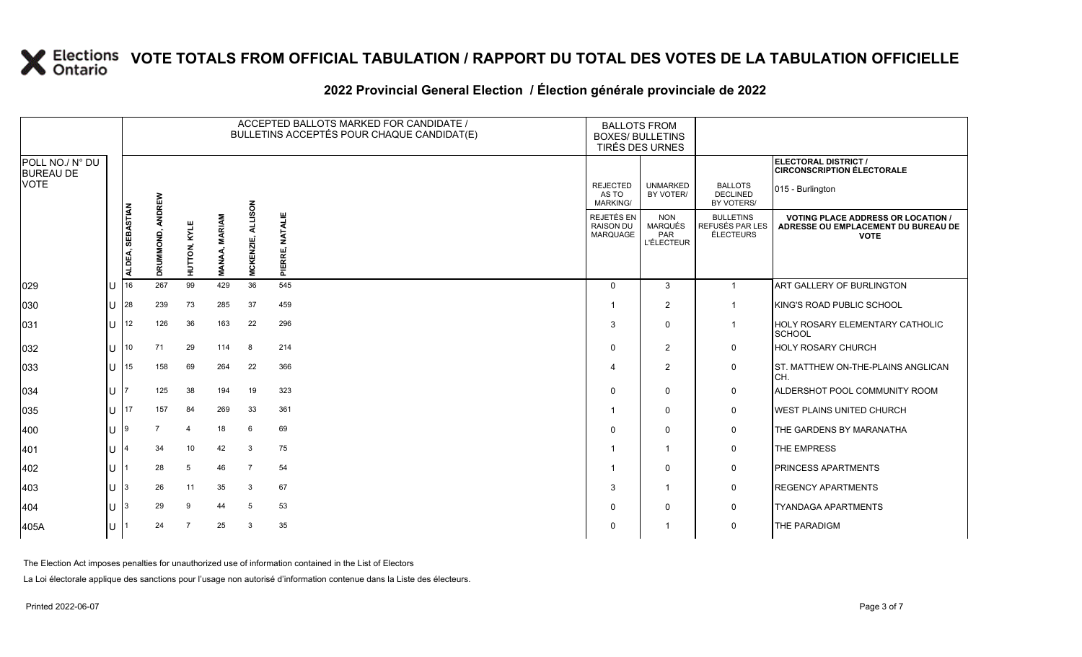### **2022 Provincial General Election / Élection générale provinciale de 2022**

|                                     |     |                            |           |              | ACCEPTED BALLOTS MARKED FOR CANDIDATE /<br>BULLETINS ACCEPTÉS POUR CHAQUE CANDIDAT(E) | <b>BALLOTS FROM</b><br><b>BOXES/ BULLETINS</b><br>TIRÉS DES URNES |                              |                                             |                                                          |                                                         |                                                                                                 |
|-------------------------------------|-----|----------------------------|-----------|--------------|---------------------------------------------------------------------------------------|-------------------------------------------------------------------|------------------------------|---------------------------------------------|----------------------------------------------------------|---------------------------------------------------------|-------------------------------------------------------------------------------------------------|
| POLL NO./ N° DU<br><b>BUREAU DE</b> |     |                            |           |              |                                                                                       |                                                                   |                              |                                             |                                                          |                                                         | ELECTORAL DISTRICT /<br><b>CIRCONSCRIPTION ÉLECTORALE</b>                                       |
| <b>VOTE</b>                         |     |                            | ANDREW    |              |                                                                                       |                                                                   |                              | <b>REJECTED</b><br>AS TO<br><b>MARKING/</b> | <b>UNMARKED</b><br>BY VOTER/                             | <b>BALLOTS</b><br><b>DECLINED</b><br>BY VOTERS/         | 015 - Burlington                                                                                |
|                                     |     | <b>SEBASTIAN</b><br>ALDEA, | DRUMMOND, | HUTTON, KYLE | <b>MARIAM</b><br><b>MANAA,</b>                                                        | <b>ALLISON</b><br>MCKENZIE,                                       | <b>NATALIE</b><br>ERRE,<br>ᇍ | REJETÉS EN<br><b>RAISON DU</b><br>MARQUAGE  | <b>NON</b><br><b>MARQUÉS</b><br>PAR<br><b>L'ÉLECTEUR</b> | <b>BULLETINS</b><br>REFUSÉS PAR LES<br><b>ÉLECTEURS</b> | <b>VOTING PLACE ADDRESS OR LOCATION /</b><br>ADRESSE OU EMPLACEMENT DU BUREAU DE<br><b>VOTE</b> |
| 029                                 | Iυ  | 16                         | 267       | 99           | 429                                                                                   | 36                                                                | 545                          | $\Omega$                                    | $\mathbf{3}$                                             | $\overline{1}$                                          | ART GALLERY OF BURLINGTON                                                                       |
| 030                                 | lu  | 28                         | 239       | 73           | 285                                                                                   | 37                                                                | 459                          |                                             | 2                                                        |                                                         | KING'S ROAD PUBLIC SCHOOL                                                                       |
| 031                                 | Iυ. | 12                         | 126       | 36           | 163                                                                                   | 22                                                                | 296                          | 3                                           | $\mathbf 0$                                              | $\mathbf{1}$                                            | HOLY ROSARY ELEMENTARY CATHOLIC<br>SCHOOL                                                       |
| 032                                 | lu  | 10                         | 71        | 29           | 114                                                                                   | 8                                                                 | 214                          | $\Omega$                                    | $\overline{2}$                                           | 0                                                       | <b>HOLY ROSARY CHURCH</b>                                                                       |
| 033                                 | lu  | 15                         | 158       | 69           | 264                                                                                   | 22                                                                | 366                          |                                             | 2                                                        | 0                                                       | ST. MATTHEW ON-THE-PLAINS ANGLICAN<br>CH.                                                       |
| 034                                 | lu  |                            | 125       | 38           | 194                                                                                   | 19                                                                | 323                          | $\Omega$                                    | $\mathbf 0$                                              | $\mathbf 0$                                             | ALDERSHOT POOL COMMUNITY ROOM                                                                   |
| 035                                 | lu  | 17                         | 157       | 84           | 269                                                                                   | 33                                                                | 361                          |                                             | $\mathbf 0$                                              | 0                                                       | <b>WEST PLAINS UNITED CHURCH</b>                                                                |
| 400                                 | IП  |                            |           | $\mathbf 4$  | 18                                                                                    | 6                                                                 | 69                           |                                             | $\mathbf 0$                                              | $\mathbf 0$                                             | THE GARDENS BY MARANATHA                                                                        |
| 401                                 | lu  |                            | 34        | 10           | 42                                                                                    | 3                                                                 | 75                           |                                             |                                                          | 0                                                       | THE EMPRESS                                                                                     |
| 402                                 | lu  |                            | 28        | 5            | 46                                                                                    | $\overline{7}$                                                    | 54                           |                                             | $\mathbf 0$                                              | $\mathbf 0$                                             | <b>PRINCESS APARTMENTS</b>                                                                      |
| 403                                 | lu  |                            | 26        | 11           | 35                                                                                    | 3                                                                 | 67                           | 3                                           |                                                          | 0                                                       | <b>REGENCY APARTMENTS</b>                                                                       |
| 404                                 | lu  |                            | 29        | 9            | 44                                                                                    | 5                                                                 | 53                           | <sup>0</sup>                                | 0                                                        | 0                                                       | <b>TYANDAGA APARTMENTS</b>                                                                      |
| 405A                                | Iυ  |                            | 24        |              | 25                                                                                    | 3                                                                 | 35                           |                                             |                                                          | $\mathbf 0$                                             | THE PARADIGM                                                                                    |

The Election Act imposes penalties for unauthorized use of information contained in the List of Electors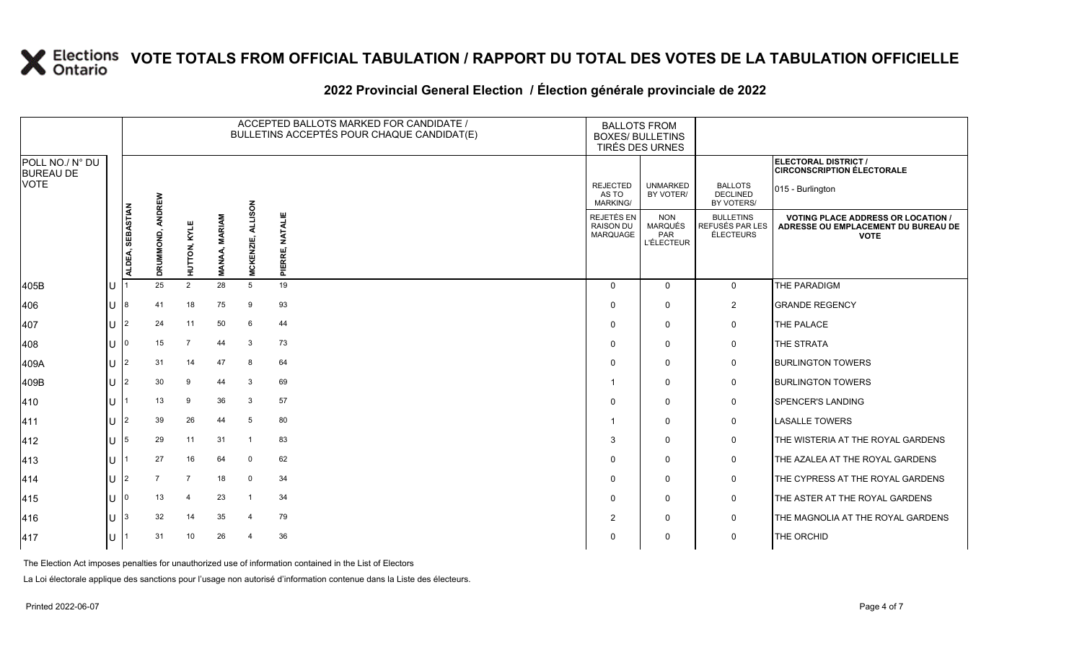### **2022 Provincial General Election / Élection générale provinciale de 2022**

|                                     |     |                            |                |                |                                |                     | ACCEPTED BALLOTS MARKED FOR CANDIDATE /<br>BULLETINS ACCEPTÉS POUR CHAQUE CANDIDAT(E) | <b>BALLOTS FROM</b><br><b>BOXES/ BULLETINS</b><br>TIRÉS DES URNES |                                                          |                                                  |                                                                                                 |  |
|-------------------------------------|-----|----------------------------|----------------|----------------|--------------------------------|---------------------|---------------------------------------------------------------------------------------|-------------------------------------------------------------------|----------------------------------------------------------|--------------------------------------------------|-------------------------------------------------------------------------------------------------|--|
| POLL NO./ N° DU<br><b>BUREAU DE</b> |     |                            |                |                |                                |                     |                                                                                       |                                                                   |                                                          |                                                  | ELECTORAL DISTRICT /<br><b>CIRCONSCRIPTION ÉLECTORALE</b>                                       |  |
| <b>VOTE</b>                         |     |                            | ANDREW         |                |                                | NOS                 |                                                                                       | <b>REJECTED</b><br>AS TO<br>MARKING/                              | <b>UNMARKED</b><br>BY VOTER/                             | <b>BALLOTS</b><br><b>DECLINED</b><br>BY VOTERS/  | 015 - Burlington                                                                                |  |
|                                     |     | <b>SEBASTIAN</b><br>ALDEA, | DRUMMOND,      | HUTTON, KYLE   | <b>MARIAM</b><br><b>MANAA,</b> | ₹<br><b>MCKENZI</b> | <b>NATALIE</b><br>PIERRE,                                                             | REJETÉS EN<br><b>RAISON DU</b><br>MARQUAGE                        | <b>NON</b><br><b>MARQUÉS</b><br>PAR<br><b>L'ÉLECTEUR</b> | <b>BULLETINS</b><br>REFUSÉS PAR LES<br>ÉLECTEURS | <b>VOTING PLACE ADDRESS OR LOCATION /</b><br>ADRESSE OU EMPLACEMENT DU BUREAU DE<br><b>VOTE</b> |  |
| 405B                                | lU  |                            | 25             | $\overline{2}$ | 28                             | $5\overline{)}$     | 19                                                                                    | $\Omega$                                                          | $\Omega$                                                 | $\mathbf{0}$                                     | THE PARADIGM                                                                                    |  |
| 406                                 | ΙU  | 8                          | 41             | 18             | 75                             | 9                   | 93                                                                                    | $\Omega$                                                          | $\mathbf 0$                                              | $\overline{2}$                                   | <b>GRANDE REGENCY</b>                                                                           |  |
| 407                                 | lU  | $\overline{2}$             | 24             | 11             | 50                             | 6                   | 44                                                                                    | $\Omega$                                                          | $\mathbf 0$                                              | $\mathbf 0$                                      | THE PALACE                                                                                      |  |
| 408                                 | ΙU  | $\Omega$                   | 15             | $\overline{7}$ | 44                             | 3                   | 73                                                                                    | $\Omega$                                                          | $\mathbf 0$                                              | $\mathsf{O}$                                     | THE STRATA                                                                                      |  |
| 409A                                | lU. | $\overline{2}$             | 31             | 14             | 47                             | 8                   | 64                                                                                    | $\Omega$                                                          | $\mathbf 0$                                              | 0                                                | <b>BURLINGTON TOWERS</b>                                                                        |  |
| 409B                                | lul | $\overline{2}$             | 30             | 9              | 44                             | 3                   | 69                                                                                    |                                                                   | $\mathbf 0$                                              | $\mathsf{O}$                                     | <b>BURLINGTON TOWERS</b>                                                                        |  |
| 410                                 | ΙU  |                            | 13             | 9              | 36                             | -3                  | 57                                                                                    | $\Omega$                                                          | $\mathbf 0$                                              | 0                                                | <b>SPENCER'S LANDING</b>                                                                        |  |
| 411                                 | ΙU  | $\overline{2}$             | 39             | 26             | 44                             | 5                   | 80                                                                                    |                                                                   | $\mathbf 0$                                              | $\mathbf 0$                                      | <b>LASALLE TOWERS</b>                                                                           |  |
| 412                                 | lU  | 5                          | 29             | 11             | 31                             | $\overline{1}$      | 83                                                                                    | 3                                                                 | $\Omega$                                                 | $\mathbf 0$                                      | THE WISTERIA AT THE ROYAL GARDENS                                                               |  |
| $ 413\rangle$                       | ΙU  |                            | 27             | 16             | 64                             | $\overline{0}$      | 62                                                                                    | $\Omega$                                                          | $\mathbf 0$                                              | $\mathsf{O}$                                     | THE AZALEA AT THE ROYAL GARDENS                                                                 |  |
| 414                                 | ΙU  | $\overline{2}$             | $\overline{7}$ | $\overline{7}$ | 18                             | $\overline{0}$      | 34                                                                                    | $\Omega$                                                          | $\mathbf 0$                                              | $\mathsf{O}$                                     | THE CYPRESS AT THE ROYAL GARDENS                                                                |  |
| 415                                 | lU  | 0                          | 13             | 4              | 23                             | - 1                 | 34                                                                                    | $\Omega$                                                          | $\mathbf 0$                                              | $\mathsf{O}$                                     | THE ASTER AT THE ROYAL GARDENS                                                                  |  |
| 416                                 | lU. | 3                          | 32             | 14             | 35                             | $\overline{4}$      | 79                                                                                    | $\overline{2}$                                                    | $\mathbf 0$                                              | $\mathbf 0$                                      | THE MAGNOLIA AT THE ROYAL GARDENS                                                               |  |
| 417                                 | IU. |                            | 31             | 10             | 26                             | 4                   | 36                                                                                    | 0                                                                 | $\mathbf 0$                                              | $\mathbf 0$                                      | THE ORCHID                                                                                      |  |

The Election Act imposes penalties for unauthorized use of information contained in the List of Electors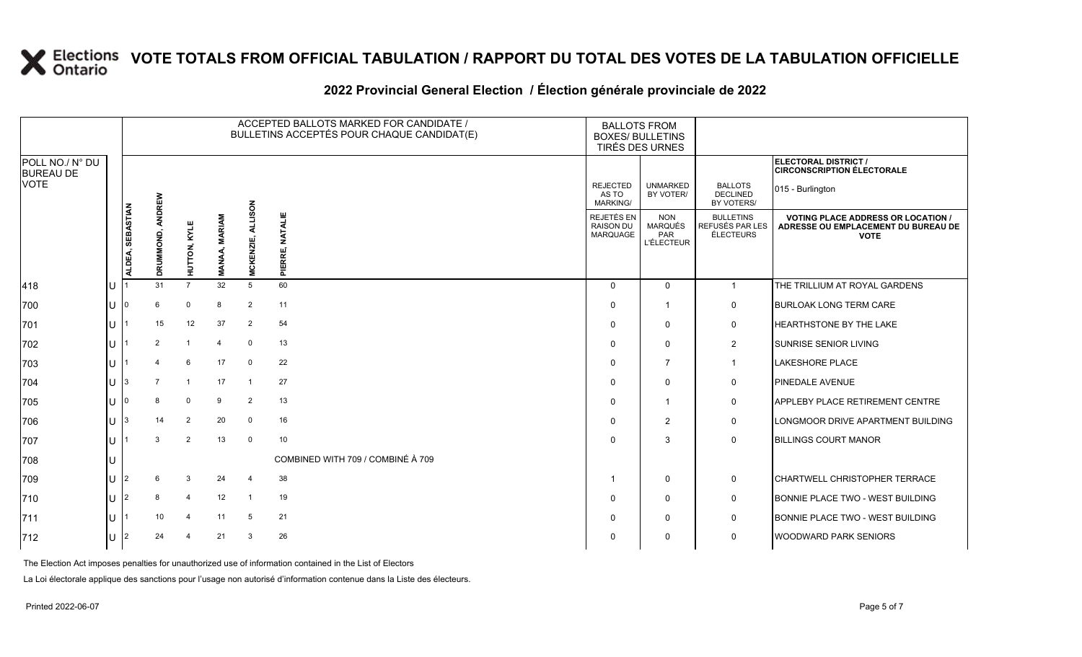|                                     |              |                  |                     |                         |                                |                            | ACCEPTED BALLOTS MARKED FOR CANDIDATE /<br>BULLETINS ACCEPTÉS POUR CHAQUE CANDIDAT(E) | <b>BALLOTS FROM</b><br><b>BOXES/ BULLETINS</b> | TIRÉS DES URNES                                          |                                                  |                                                                                                 |
|-------------------------------------|--------------|------------------|---------------------|-------------------------|--------------------------------|----------------------------|---------------------------------------------------------------------------------------|------------------------------------------------|----------------------------------------------------------|--------------------------------------------------|-------------------------------------------------------------------------------------------------|
| POLL NO./ N° DU<br><b>BUREAU DE</b> |              |                  |                     |                         |                                |                            |                                                                                       |                                                |                                                          |                                                  | ELECTORAL DISTRICT /<br><b>CIRCONSCRIPTION ÉLECTORALE</b>                                       |
| <b>VOTE</b>                         |              |                  |                     |                         |                                | NOS                        |                                                                                       | <b>REJECTED</b><br>AS TO<br>MARKING/           | <b>UNMARKED</b><br>BY VOTER/                             | <b>BALLOTS</b><br><b>DECLINED</b><br>BY VOTERS/  | 015 - Burlington                                                                                |
|                                     |              | ALDEA, SEBASTIAN | ANDREW<br>DRUMMOND, | <b>HUTTON, KYLE</b>     | <b>MARIAM</b><br><b>MANAA,</b> | ₹<br>ENZIE,<br><b>MCKI</b> | <b>NATALIE</b><br>PIERRE,                                                             | REJETÉS EN<br><b>RAISON DU</b><br>MARQUAGE     | <b>NON</b><br><b>MARQUÉS</b><br>PAR<br><b>L'ÉLECTEUR</b> | <b>BULLETINS</b><br>REFUSÉS PAR LES<br>ÉLECTEURS | <b>VOTING PLACE ADDRESS OR LOCATION /</b><br>ADRESSE OU EMPLACEMENT DU BUREAU DE<br><b>VOTE</b> |
| 418                                 |              |                  | 31                  | $\overline{7}$          | 32                             | 5                          | 60                                                                                    | $\Omega$                                       | $\Omega$                                                 | $\overline{1}$                                   | THE TRILLIUM AT ROYAL GARDENS                                                                   |
| 700                                 |              |                  | 6                   | $\mathbf{0}$            | 8                              | $\overline{2}$             | 11                                                                                    | $\Omega$                                       | $\overline{1}$                                           | $\mathbf 0$                                      | <b>BURLOAK LONG TERM CARE</b>                                                                   |
| 701                                 | $\mathbf{U}$ |                  | 15                  | 12                      | 37                             | $\overline{2}$             | 54                                                                                    | $\Omega$                                       | $\mathbf 0$                                              | 0                                                | HEARTHSTONE BY THE LAKE                                                                         |
| 702                                 |              |                  | $\overline{2}$      | $\overline{\mathbf{1}}$ | 4                              | $\mathbf 0$                | 13                                                                                    | $\Omega$                                       | $\mathbf 0$                                              | $\overline{2}$                                   | <b>SUNRISE SENIOR LIVING</b>                                                                    |
| 703                                 |              |                  |                     | 6                       | 17                             | $\Omega$                   | 22                                                                                    | $\Omega$                                       | $\overline{7}$                                           | -1                                               | <b>LAKESHORE PLACE</b>                                                                          |
| 704                                 |              | 3                | 7                   | $\overline{\mathbf{1}}$ | 17                             | $\overline{1}$             | 27                                                                                    | $\Omega$                                       | $\mathbf 0$                                              | $\mathbf 0$                                      | <b>PINEDALE AVENUE</b>                                                                          |
| 705                                 |              |                  | 8                   | $\mathbf 0$             | 9                              | $\overline{2}$             | 13                                                                                    | $\Omega$                                       | $\overline{1}$                                           | $\mathbf 0$                                      | APPLEBY PLACE RETIREMENT CENTRE                                                                 |
| 706                                 |              |                  | 14                  | 2                       | 20                             | 0                          | 16                                                                                    | $\Omega$                                       | 2                                                        | $\mathbf 0$                                      | LONGMOOR DRIVE APARTMENT BUILDING                                                               |
| 707                                 | $\mathbf{U}$ |                  | 3                   | 2                       | 13                             | $\mathbf 0$                | 10                                                                                    | $\Omega$                                       | 3                                                        | $\mathbf 0$                                      | <b>BILLINGS COURT MANOR</b>                                                                     |
| 708                                 |              |                  |                     |                         |                                |                            | COMBINED WITH 709 / COMBINÉ À 709                                                     |                                                |                                                          |                                                  |                                                                                                 |
| 709                                 |              | 2                |                     | 3                       | 24                             | $\overline{4}$             | 38                                                                                    | $\mathbf 1$                                    | $\mathbf 0$                                              | $\mathbf 0$                                      | CHARTWELL CHRISTOPHER TERRACE                                                                   |
| 710                                 | $\mathbf{H}$ | 2                | 8                   | $\overline{4}$          | 12                             | -1                         | 19                                                                                    | $\Omega$                                       | $\mathbf 0$                                              | 0                                                | BONNIE PLACE TWO - WEST BUILDING                                                                |
| 711                                 |              |                  | 10                  | 4                       | 11                             | 5                          | 21                                                                                    | $\Omega$                                       | $\mathbf 0$                                              | $\mathbf 0$                                      | BONNIE PLACE TWO - WEST BUILDING                                                                |
| 712                                 | lU l         | 12               | 24                  | 4                       | 21                             | 3                          | 26                                                                                    | $\Omega$                                       | $\Omega$                                                 | $\Omega$                                         | <b>WOODWARD PARK SENIORS</b>                                                                    |

### **2022 Provincial General Election / Élection générale provinciale de 2022**

The Election Act imposes penalties for unauthorized use of information contained in the List of Electors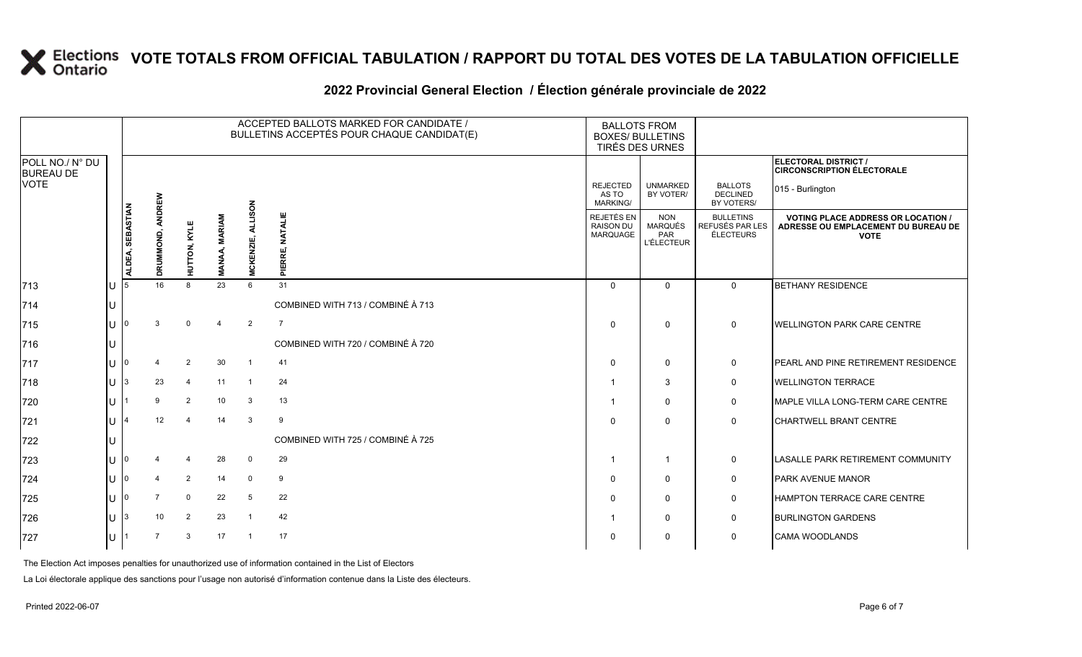|                                     |    |                  |                |                |                               |                         | ACCEPTED BALLOTS MARKED FOR CANDIDATE /<br>BULLETINS ACCEPTÉS POUR CHAQUE CANDIDAT(E) |                                             | <b>BALLOTS FROM</b><br><b>BOXES/ BULLETINS</b><br>TIRÉS DES URNES |                                                  |                                                                                                 |
|-------------------------------------|----|------------------|----------------|----------------|-------------------------------|-------------------------|---------------------------------------------------------------------------------------|---------------------------------------------|-------------------------------------------------------------------|--------------------------------------------------|-------------------------------------------------------------------------------------------------|
| POLL NO./ N° DU<br><b>BUREAU DE</b> |    |                  |                |                |                               |                         |                                                                                       |                                             |                                                                   |                                                  | ELECTORAL DISTRICT /<br><b>CIRCONSCRIPTION ÉLECTORALE</b>                                       |
| <b>VOTE</b>                         |    |                  | ANDREW         |                |                               |                         |                                                                                       | <b>REJECTED</b><br>AS TO<br><b>MARKING/</b> | <b>UNMARKED</b><br>BY VOTER/                                      | <b>BALLOTS</b><br><b>DECLINED</b><br>BY VOTERS/  | 015 - Burlington                                                                                |
|                                     |    | ALDEA, SEBASTIAN | DRUMMOND,      | HUTTON, KYLE   | <b>MARIAM</b><br><b>MANAA</b> | MUSON<br>MCKENZIE,      | <b>NATALIE</b><br>PIERRE,                                                             | REJETÉS EN<br><b>RAISON DU</b><br>MARQUAGE  | <b>NON</b><br><b>MARQUÉS</b><br>PAR<br><b>L'ÉLECTEUR</b>          | <b>BULLETINS</b><br>REFUSÉS PAR LES<br>ÉLECTEURS | <b>VOTING PLACE ADDRESS OR LOCATION /</b><br>ADRESSE OU EMPLACEMENT DU BUREAU DE<br><b>VOTE</b> |
| 713                                 | IU | 15               | 16             | $\mathsf{R}$   | 23                            | 6                       | 31                                                                                    | $\Omega$                                    | $\Omega$                                                          | $\Omega$                                         | <b>BETHANY RESIDENCE</b>                                                                        |
| 714                                 | IU |                  |                |                |                               |                         | COMBINED WITH 713 / COMBINÉ À 713                                                     |                                             |                                                                   |                                                  |                                                                                                 |
| 715                                 | IU |                  | 3              | $\Omega$       | $\overline{4}$                | $\overline{2}$          | $\overline{7}$                                                                        | $\Omega$                                    | $\Omega$                                                          | $\mathbf 0$                                      | <b>WELLINGTON PARK CARE CENTRE</b>                                                              |
| 716                                 | IU |                  |                |                |                               |                         | COMBINED WITH 720 / COMBINÉ À 720                                                     |                                             |                                                                   |                                                  |                                                                                                 |
| 717                                 | IU |                  |                | $\overline{2}$ | 30                            | $\overline{1}$          | 41                                                                                    | $\Omega$                                    | $\mathbf 0$                                                       | $\mathbf 0$                                      | <b>PEARL AND PINE RETIREMENT RESIDENCE</b>                                                      |
| 718                                 | IU | 13               | 23             | $\overline{4}$ | 11                            | $\overline{\mathbf{1}}$ | 24                                                                                    |                                             | 3                                                                 | $\mathbf 0$                                      | <b>WELLINGTON TERRACE</b>                                                                       |
| 720                                 | IU |                  | 9              | 2              | 10 <sup>°</sup>               | 3                       | 13                                                                                    |                                             | $\mathbf 0$                                                       | $\mathbf 0$                                      | MAPLE VILLA LONG-TERM CARE CENTRE                                                               |
| 721                                 | IU |                  | 12             | 4              | 14                            | $\mathbf{3}$            | 9                                                                                     | $\Omega$                                    | $\Omega$                                                          | $\mathbf 0$                                      | <b>CHARTWELL BRANT CENTRE</b>                                                                   |
| 722                                 | IU |                  |                |                |                               |                         | COMBINED WITH 725 / COMBINÉ À 725                                                     |                                             |                                                                   |                                                  |                                                                                                 |
| 723                                 | IU |                  |                | 4              | 28                            | $\mathbf 0$             | 29                                                                                    |                                             | $\overline{1}$                                                    | $\mathbf 0$                                      | <b>LASALLE PARK RETIREMENT COMMUNITY</b>                                                        |
| 724                                 | IU |                  | $\mathbf 4$    | $\overline{2}$ | 14                            | $\mathbf 0$             | 9                                                                                     | $\Omega$                                    | $\mathbf 0$                                                       | $\mathbf 0$                                      | <b>PARK AVENUE MANOR</b>                                                                        |
| 725                                 | IU | 10               | $\overline{7}$ | $\mathbf 0$    | 22                            | 5                       | 22                                                                                    | $\Omega$                                    | $\mathbf 0$                                                       | $\mathbf 0$                                      | <b>HAMPTON TERRACE CARE CENTRE</b>                                                              |
| 726                                 | ΙU | 13               | 10             | 2              | 23                            |                         | 42                                                                                    |                                             | $\mathbf 0$                                                       | $\mathbf 0$                                      | <b>BURLINGTON GARDENS</b>                                                                       |
| 727                                 | ΙU |                  | $\overline{7}$ | 3              | 17                            | $\overline{1}$          | 17                                                                                    | $\Omega$                                    | $\Omega$                                                          | $\mathbf 0$                                      | <b>CAMA WOODLANDS</b>                                                                           |

### **2022 Provincial General Election / Élection générale provinciale de 2022**

The Election Act imposes penalties for unauthorized use of information contained in the List of Electors